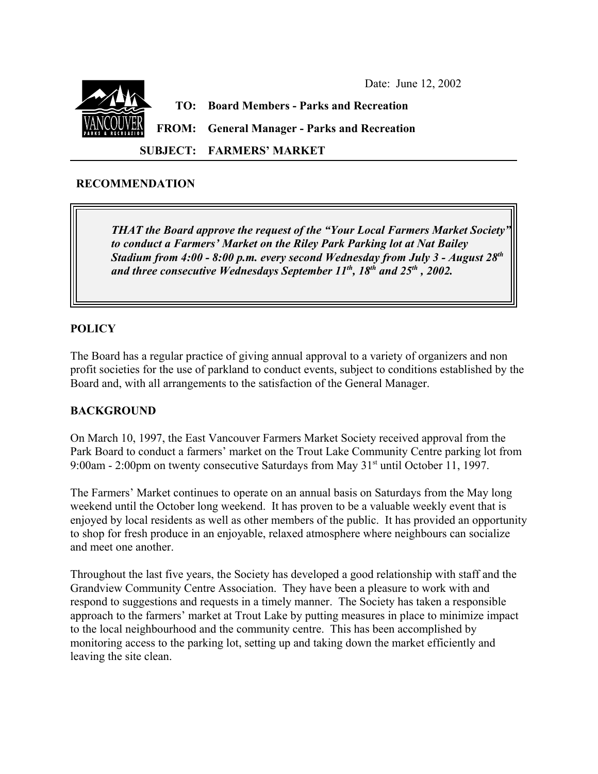

**SUBJECT: FARMERS' MARKET**

# **RECOMMENDATION**

*THAT the Board approve the request of the "Your Local Farmers Market Society" to conduct a Farmers' Market on the Riley Park Parking lot at Nat Bailey Stadium from 4:00 - 8:00 p.m. every second Wednesday from July 3 - August 28th* and three consecutive Wednesdays September 11<sup>th</sup>, 18<sup>th</sup> and 25<sup>th</sup>, 2002.

# **POLICY**

The Board has a regular practice of giving annual approval to a variety of organizers and non profit societies for the use of parkland to conduct events, subject to conditions established by the Board and, with all arrangements to the satisfaction of the General Manager.

# **BACKGROUND**

On March 10, 1997, the East Vancouver Farmers Market Society received approval from the Park Board to conduct a farmers' market on the Trout Lake Community Centre parking lot from 9:00am - 2:00pm on twenty consecutive Saturdays from May 31<sup>st</sup> until October 11, 1997.

The Farmers' Market continues to operate on an annual basis on Saturdays from the May long weekend until the October long weekend. It has proven to be a valuable weekly event that is enjoyed by local residents as well as other members of the public. It has provided an opportunity to shop for fresh produce in an enjoyable, relaxed atmosphere where neighbours can socialize and meet one another.

Throughout the last five years, the Society has developed a good relationship with staff and the Grandview Community Centre Association. They have been a pleasure to work with and respond to suggestions and requests in a timely manner. The Society has taken a responsible approach to the farmers' market at Trout Lake by putting measures in place to minimize impact to the local neighbourhood and the community centre. This has been accomplished by monitoring access to the parking lot, setting up and taking down the market efficiently and leaving the site clean.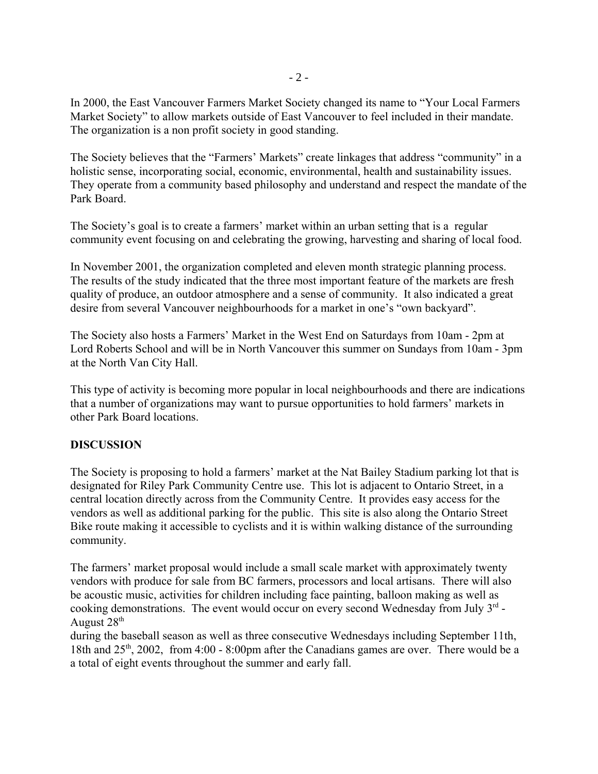In 2000, the East Vancouver Farmers Market Society changed its name to "Your Local Farmers Market Society" to allow markets outside of East Vancouver to feel included in their mandate. The organization is a non profit society in good standing.

The Society believes that the "Farmers' Markets" create linkages that address "community" in a holistic sense, incorporating social, economic, environmental, health and sustainability issues. They operate from a community based philosophy and understand and respect the mandate of the Park Board.

The Society's goal is to create a farmers' market within an urban setting that is a regular community event focusing on and celebrating the growing, harvesting and sharing of local food.

In November 2001, the organization completed and eleven month strategic planning process. The results of the study indicated that the three most important feature of the markets are fresh quality of produce, an outdoor atmosphere and a sense of community. It also indicated a great desire from several Vancouver neighbourhoods for a market in one's "own backyard".

The Society also hosts a Farmers' Market in the West End on Saturdays from 10am - 2pm at Lord Roberts School and will be in North Vancouver this summer on Sundays from 10am - 3pm at the North Van City Hall.

This type of activity is becoming more popular in local neighbourhoods and there are indications that a number of organizations may want to pursue opportunities to hold farmers' markets in other Park Board locations.

# **DISCUSSION**

The Society is proposing to hold a farmers' market at the Nat Bailey Stadium parking lot that is designated for Riley Park Community Centre use. This lot is adjacent to Ontario Street, in a central location directly across from the Community Centre. It provides easy access for the vendors as well as additional parking for the public. This site is also along the Ontario Street Bike route making it accessible to cyclists and it is within walking distance of the surrounding community.

The farmers' market proposal would include a small scale market with approximately twenty vendors with produce for sale from BC farmers, processors and local artisans. There will also be acoustic music, activities for children including face painting, balloon making as well as cooking demonstrations. The event would occur on every second Wednesday from July  $3<sup>rd</sup>$  -August 28<sup>th</sup>

during the baseball season as well as three consecutive Wednesdays including September 11th, 18th and  $25<sup>th</sup>$ , 2002, from 4:00 - 8:00pm after the Canadians games are over. There would be a a total of eight events throughout the summer and early fall.